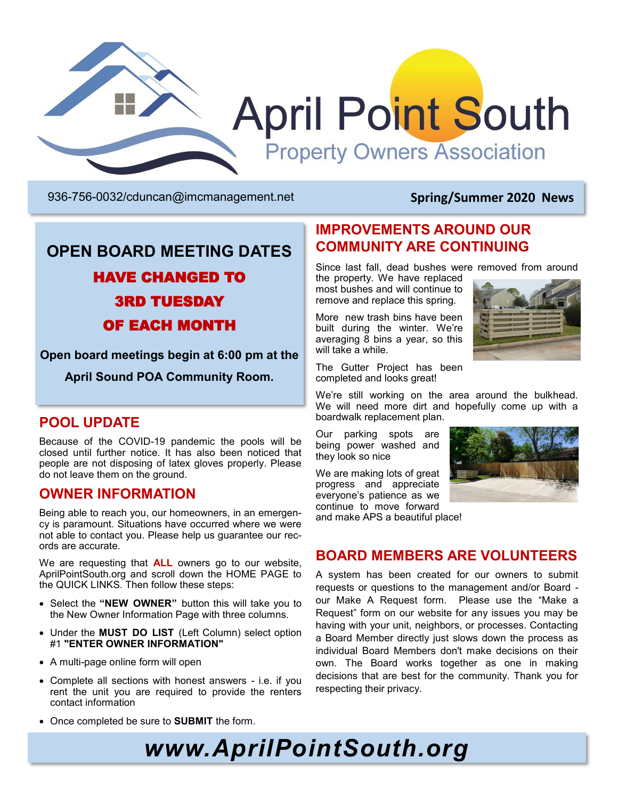

936-756-0032[/cduncan@imcmanagement.net](mailto:cduncan@imcmanagement.net) **Spring/Summer 2020 News**

### **OPEN BOARD MEETING DATES** HAVE CHANGED TO 3RD TUESDAY OF EACH MONTH

**Open board meetings begin at 6:00 pm at the** 

**April Sound POA Community Room.**

#### **POOL UPDATE**

Because of the COVID-19 pandemic the pools will be closed until further notice. It has also been noticed that people are not disposing of latex gloves properly. Please do not leave them on the ground.

#### **OWNER INFORMATION**

Being able to reach you, our homeowners, in an emergency is paramount. Situations have occurred where we were not able to contact you. Please help us guarantee our records are accurate.

We are requesting that **ALL** owners go to our website, AprilPointSouth.org and scroll down the HOME PAGE to the QUICK LINKS. Then follow these steps:

- Select the **"NEW OWNER"** button this will take you to the New Owner Information Page with three columns.
- Under the **MUST DO LIST** (Left Column) select option #1 **"ENTER OWNER INFORMATION"**
- A multi-page online form will open
- Complete all sections with honest answers i.e. if you rent the unit you are required to provide the renters contact information
- Once completed be sure to **SUBMIT** the form.

#### **IMPROVEMENTS AROUND OUR COMMUNITY ARE CONTINUING**

Since last fall, dead bushes were removed from around the property. We have replaced

most bushes and will continue to remove and replace this spring.

More new trash bins have been built during the winter. We're averaging  $\overline{8}$  bins a year, so this will take a while.

The Gutter Project has been completed and looks great!



We're still working on the area around the bulkhead. We will need more dirt and hopefully come up with a boardwalk replacement plan.

Our parking spots are being power washed and they look so nice

We are making lots of great progress and appreciate everyone's patience as we continue to move forward

and make APS a beautiful place!



#### **BOARD MEMBERS ARE VOLUNTEERS**

A system has been created for our owners to submit requests or questions to the management and/or Board our Make A Request form. Please use the "Make a Request" form on our website for any issues you may be having with your unit, neighbors, or processes. Contacting a Board Member directly just slows down the process as individual Board Members don't make decisions on their own. The Board works together as one in making decisions that are best for the community. Thank you for respecting their privacy.

# *www.AprilPointSouth.org*